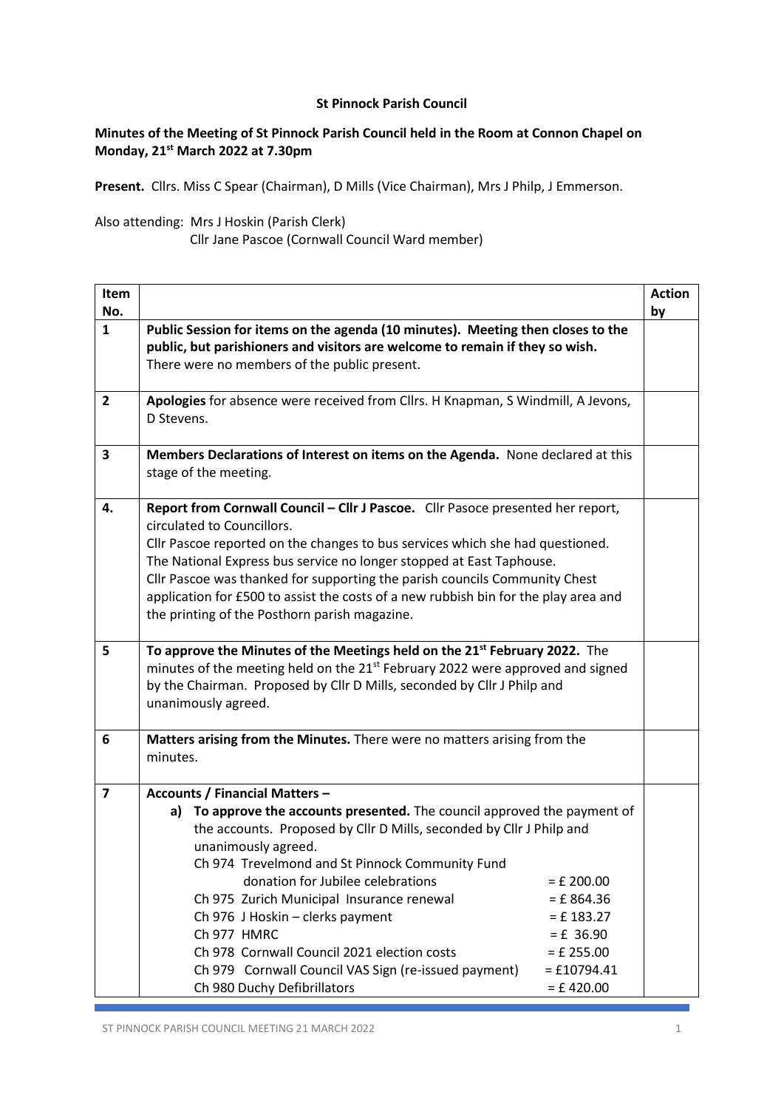## **St Pinnock Parish Council**

## **Minutes of the Meeting of St Pinnock Parish Council held in the Room at Connon Chapel on Monday, 21st March 2022 at 7.30pm**

**Present.** Cllrs. Miss C Spear (Chairman), D Mills (Vice Chairman), Mrs J Philp, J Emmerson.

Also attending: Mrs J Hoskin (Parish Clerk)

Cllr Jane Pascoe (Cornwall Council Ward member)

| Public Session for items on the agenda (10 minutes). Meeting then closes to the<br>public, but parishioners and visitors are welcome to remain if they so wish.<br>There were no members of the public present.<br>Apologies for absence were received from Cllrs. H Knapman, S Windmill, A Jevons,<br>D Stevens.<br>Members Declarations of Interest on items on the Agenda. None declared at this<br>stage of the meeting.<br>Report from Cornwall Council - Cllr J Pascoe. Cllr Pasoce presented her report,<br>circulated to Councillors.<br>Cllr Pascoe reported on the changes to bus services which she had questioned.<br>The National Express bus service no longer stopped at East Taphouse.<br>Cllr Pascoe was thanked for supporting the parish councils Community Chest | by                                                                                                                                                           |
|--------------------------------------------------------------------------------------------------------------------------------------------------------------------------------------------------------------------------------------------------------------------------------------------------------------------------------------------------------------------------------------------------------------------------------------------------------------------------------------------------------------------------------------------------------------------------------------------------------------------------------------------------------------------------------------------------------------------------------------------------------------------------------------|--------------------------------------------------------------------------------------------------------------------------------------------------------------|
|                                                                                                                                                                                                                                                                                                                                                                                                                                                                                                                                                                                                                                                                                                                                                                                      |                                                                                                                                                              |
|                                                                                                                                                                                                                                                                                                                                                                                                                                                                                                                                                                                                                                                                                                                                                                                      |                                                                                                                                                              |
|                                                                                                                                                                                                                                                                                                                                                                                                                                                                                                                                                                                                                                                                                                                                                                                      |                                                                                                                                                              |
| the printing of the Posthorn parish magazine.                                                                                                                                                                                                                                                                                                                                                                                                                                                                                                                                                                                                                                                                                                                                        |                                                                                                                                                              |
| To approve the Minutes of the Meetings held on the 21 <sup>st</sup> February 2022. The<br>minutes of the meeting held on the 21 <sup>st</sup> February 2022 were approved and signed<br>by the Chairman. Proposed by Cllr D Mills, seconded by Cllr J Philp and<br>unanimously agreed.                                                                                                                                                                                                                                                                                                                                                                                                                                                                                               |                                                                                                                                                              |
| Matters arising from the Minutes. There were no matters arising from the<br>minutes.                                                                                                                                                                                                                                                                                                                                                                                                                                                                                                                                                                                                                                                                                                 |                                                                                                                                                              |
| <b>Accounts / Financial Matters -</b><br>To approve the accounts presented. The council approved the payment of<br>a)<br>the accounts. Proposed by Cllr D Mills, seconded by Cllr J Philp and<br>unanimously agreed.<br>Ch 974 Trevelmond and St Pinnock Community Fund<br>donation for Jubilee celebrations<br>$=$ £ 200.00<br>Ch 975 Zurich Municipal Insurance renewal<br>$=$ £ 864.36<br>Ch 976 J Hoskin - clerks payment<br>$= f 183.27$<br>Ch 977 HMRC<br>$= f 36.90$<br>Ch 978 Cornwall Council 2021 election costs<br>$=$ £ 255.00                                                                                                                                                                                                                                           |                                                                                                                                                              |
|                                                                                                                                                                                                                                                                                                                                                                                                                                                                                                                                                                                                                                                                                                                                                                                      | application for £500 to assist the costs of a new rubbish bin for the play area and<br>Ch 979 Cornwall Council VAS Sign (re-issued payment)<br>$=$ £10794.41 |